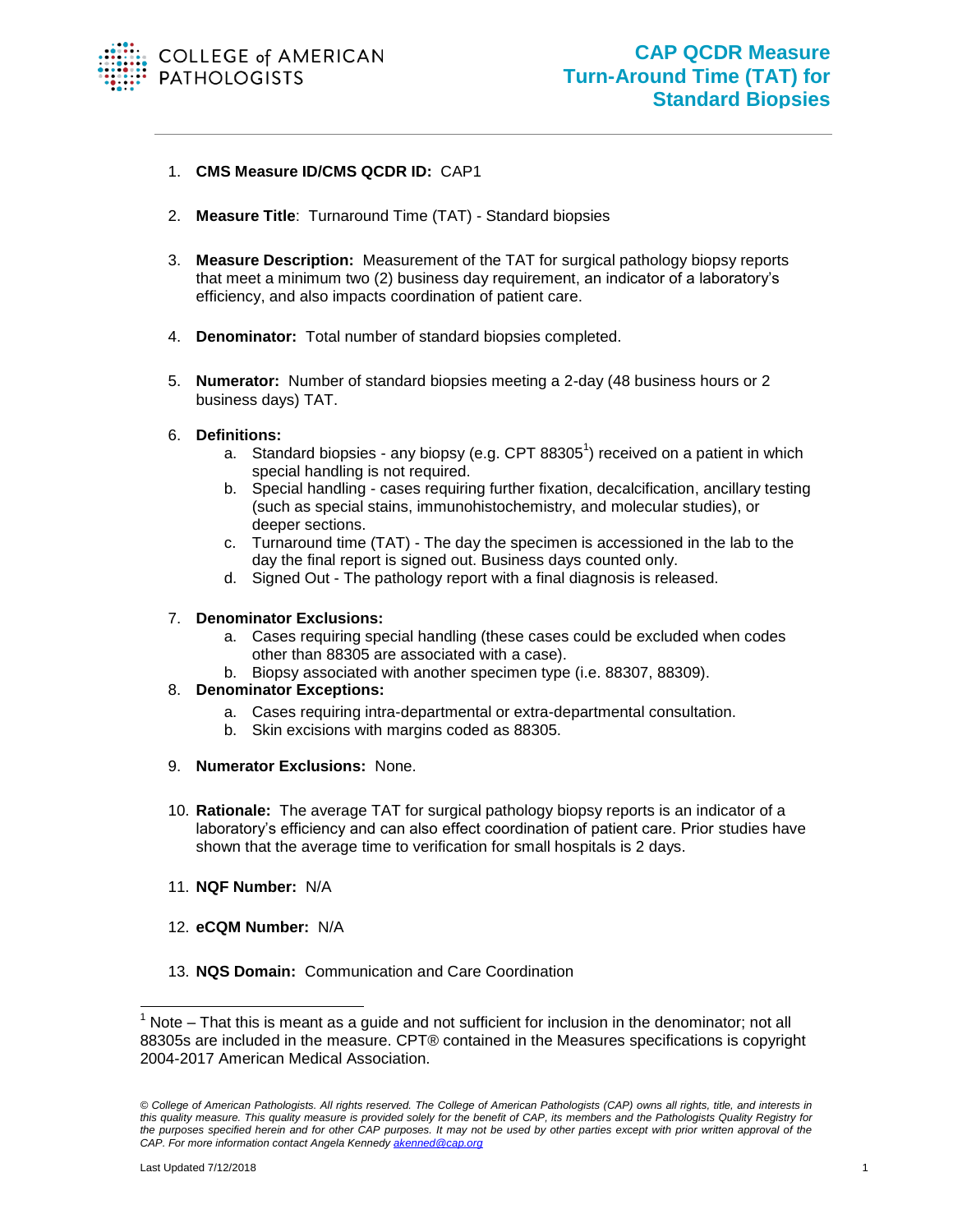

## 1. **CMS Measure ID/CMS QCDR ID:** CAP1

- 2. **Measure Title**: Turnaround Time (TAT) Standard biopsies
- 3. **Measure Description:** Measurement of the TAT for surgical pathology biopsy reports that meet a minimum two (2) business day requirement, an indicator of a laboratory's efficiency, and also impacts coordination of patient care.
- 4. **Denominator:** Total number of standard biopsies completed.
- 5. **Numerator:** Number of standard biopsies meeting a 2-day (48 business hours or 2 business days) TAT.

## 6. **Definitions:**

- a. Standard biopsies any biopsy (e.g. CPT 88305<sup>1</sup>) received on a patient in which special handling is not required.
- b. Special handling cases requiring further fixation, decalcification, ancillary testing (such as special stains, immunohistochemistry, and molecular studies), or deeper sections.
- c. Turnaround time (TAT) The day the specimen is accessioned in the lab to the day the final report is signed out. Business days counted only.
- d. Signed Out The pathology report with a final diagnosis is released.

## 7. **Denominator Exclusions:**

- a. Cases requiring special handling (these cases could be excluded when codes other than 88305 are associated with a case).
- b. Biopsy associated with another specimen type (i.e. 88307, 88309).

## 8. **Denominator Exceptions:**

- a. Cases requiring intra-departmental or extra-departmental consultation.
- b. Skin excisions with margins coded as 88305.
- 9. **Numerator Exclusions:** None.
- 10. **Rationale:** The average TAT for surgical pathology biopsy reports is an indicator of a laboratory's efficiency and can also effect coordination of patient care. Prior studies have shown that the average time to verification for small hospitals is 2 days.
- 11. **NQF Number:** N/A
- 12. **eCQM Number:** N/A
- 13. **NQS Domain:** Communication and Care Coordination

l

 $1$  Note – That this is meant as a guide and not sufficient for inclusion in the denominator; not all 88305s are included in the measure. CPT® contained in the Measures specifications is copyright 2004-2017 American Medical Association.

*<sup>©</sup> College of American Pathologists. All rights reserved. The College of American Pathologists (CAP) owns all rights, title, and interests in this quality measure. This quality measure is provided solely for the benefit of CAP, its members and the Pathologists Quality Registry for the purposes specified herein and for other CAP purposes. It may not be used by other parties except with prior written approval of the CAP. For more information contact Angela Kennedy [akenned@cap.org](mailto:akenned@cap.org)*